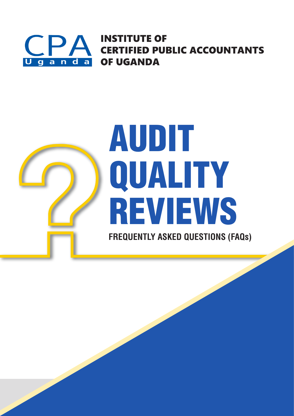

**INSTITUTE OF CERTIFIED PUBLIC ACCOUNTANTS OF UGANDA** 

# AUDIT QUALITY REVIEWS **FREQUENTLY ASKED QUESTIONS (FAQs)**

Frequently Asked Questions (FAQs) on Audit Quality Reviews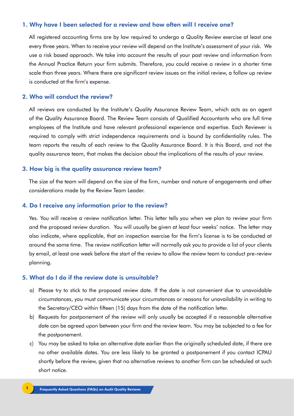#### 1. Why have I been selected for a review and how often will I receive one?

All registered accounting firms are by law required to undergo a Quality Review exercise at least one every three years. When to receive your review will depend on the Institute's assessment of your risk. We use a risk based approach. We take into account the results of your past review and information from the Annual Practice Return your firm submits. Therefore, you could receive a review in a shorter time scale than three years. Where there are significant review issues on the initial review, a follow up review is conducted at the firm's expense.

#### 2. Who will conduct the review?

All reviews are conducted by the Institute's Quality Assurance Review Team, which acts as an agent of the Quality Assurance Board. The Review Team consists of Qualified Accountants who are full time employees of the Institute and have relevant professional experience and expertise. Each Reviewer is required to comply with strict independence requirements and is bound by confidentiality rules. The team reports the results of each review to the Quality Assurance Board. It is this Board, and not the quality assurance team, that makes the decision about the implications of the results of your review.

#### 3. How big is the quality assurance review team?

The size of the team will depend on the size of the firm, number and nature of engagements and other considerations made by the Review Team Leader.

#### 4. Do I receive any information prior to the review?

Yes. You will receive a review notification letter. This letter tells you when we plan to review your firm and the proposed review duration. You will usually be given at least four weeks' notice. The letter may also indicate, where applicable, that an inspection exercise for the firm's license is to be conducted at around the same time. The review notification letter will normally ask you to provide a list of your clients by email, at least one week before the start of the review to allow the review team to conduct pre-review planning.

#### 5. What do I do if the review date is unsuitable?

- a) Please try to stick to the proposed review date. If the date is not convenient due to unavoidable circumstances, you must communicate your circumstances or reasons for unavailability in writing to the Secretary/CEO within fifteen (15) days from the date of the notification letter.
- b) Requests for postponement of the review will only usually be accepted if a reasonable alternative date can be agreed upon between your firm and the review team. You may be subjected to a fee for the postponement.
- c) You may be asked to take an alternative date earlier than the originally scheduled date, if there are no other available dates. You are less likely to be granted a postponement if you contact ICPAU shortly before the review, given that no alternative reviews to another firm can be scheduled at such short notice.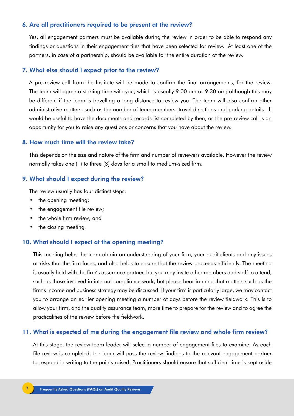#### 6. Are all practitioners required to be present at the review?

Yes, all engagement partners must be available during the review in order to be able to respond any findings or questions in their engagement files that have been selected for review. At least one of the partners, in case of a partnership, should be available for the entire duration of the review.

#### 7. What else should I expect prior to the review?

A pre-review call from the Institute will be made to confirm the final arrangements, for the review. The team will agree a starting time with you, which is usually 9.00 am or 9.30 am; although this may be different if the team is travelling a long distance to review you. The team will also confirm other administrative matters, such as the number of team members, travel directions and parking details. It would be useful to have the documents and records list completed by then, as the pre-review call is an opportunity for you to raise any questions or concerns that you have about the review.

#### 8. How much time will the review take?

This depends on the size and nature of the firm and number of reviewers available. However the review normally takes one (1) to three (3) days for a small to medium-sized firm.

#### 9. What should I expect during the review?

The review usually has four distinct steps:

- the opening meeting;
- the engagement file review;
- the whole firm review; and
- the closing meeting.

#### 10. What should I expect at the opening meeting?

This meeting helps the team obtain an understanding of your firm, your audit clients and any issues or risks that the firm faces, and also helps to ensure that the review proceeds efficiently. The meeting is usually held with the firm's assurance partner, but you may invite other members and staff to attend, such as those involved in internal compliance work, but please bear in mind that matters such as the firm's income and business strategy may be discussed. If your firm is particularly large, we may contact you to arrange an earlier opening meeting a number of days before the review fieldwork. This is to allow your firm, and the quality assurance team, more time to prepare for the review and to agree the practicalities of the review before the fieldwork.

#### 11. What is expected of me during the engagement file review and whole firm review?

At this stage, the review team leader will select a number of engagement files to examine. As each file review is completed, the team will pass the review findings to the relevant engagement partner to respond in writing to the points raised. Practitioners should ensure that sufficient time is kept aside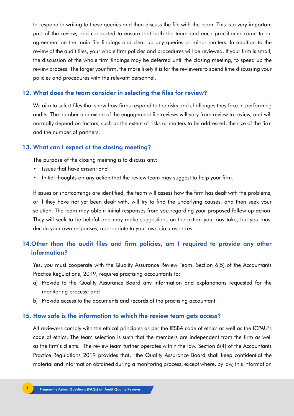to respond in writing to these queries and then discuss the file with the team. This is a very important part of the review, and conducted to ensure that both the team and each practitioner come to an agreement on the main file findings and clear up any queries or minor matters. In addition to the review of the audit files, your whole firm policies and procedures will be reviewed. If your firm is small, the discussion of the whole firm findings may be deferred until the closing meeting, to speed up the review process. The larger your firm, the more likely it is for the reviewers to spend time discussing your policies and procedures with the relevant personnel.

#### 12. What does the team consider in selecting the files for review?

We aim to select files that show how firms respond to the risks and challenges they face in performing audits. The number and extent of the engagement file reviews will vary from review to review, and will normally depend on factors, such as the extent of risks or matters to be addressed, the size of the firm and the number of partners.

#### 13. What can I expect at the closing meeting?

The purpose of the closing meeting is to discuss any:

- Issues that have arisen; and
- Initial thoughts on any action that the review team may suggest to help your firm.

If issues or shortcomings are identified, the team will assess how the firm has dealt with the problems, or if they have not yet been dealt with, will try to find the underlying causes, and then seek your solution. The team may obtain initial responses from you regarding your proposed follow up action. They will seek to be helpful and may make suggestions on the action you may take, but you must decide your own responses, appropriate to your own circumstances.

# 14.Other than the audit files and firm policies, am I required to provide any other information?

Yes, you must cooperate with the Quality Assurance Review Team. Section 6(5) of the Accountants Practice Regulations, 2019, requires practising accountants to;

- a) Provide to the Quality Assurance Board any information and explanations requested for the monitoring process; and
- b) Provide access to the documents and records of the practising accountant.

#### 15. How safe is the information to which the review team gets access?

All reviewers comply with the ethical principles as per the IESBA code of ethics as well as the ICPAU's code of ethics. The team selection is such that the members are independent from the firm as well as the firm's clients. The review team further operates within the law. Section 6(4) of the Accountants Practice Regulations 2019 provides that, "the Quality Assurance Board shall keep confidential the material and information obtained during a monitoring process, except where, by law, this information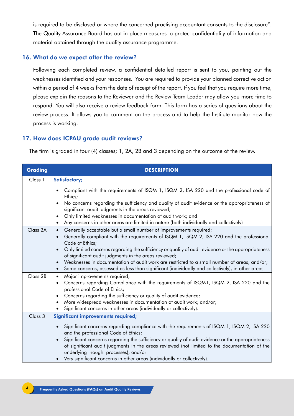is required to be disclosed or where the concerned practising accountant consents to the disclosure". The Quality Assurance Board has out in place measures to protect confidentiality of information and material obtained through the quality assurance programme.

### 16. What do we expect after the review?

Following each completed review, a confidential detailed report is sent to you, pointing out the weaknesses identified and your responses. You are required to provide your planned corrective action within a period of 4 weeks from the date of receipt of the report. If you feel that you require more time, please explain the reasons to the Reviewer and the Review Team Leader may allow you more time to respond. You will also receive a review feedback form. This form has a series of questions about the review process. It allows you to comment on the process and to help the Institute monitor how the process is working.

# 17. How does ICPAU grade audit reviews?

The firm is graded in four (4) classes; 1, 2A, 2B and 3 depending on the outcome of the review.

| <b>Grading</b> | <b>DESCRIPTION</b>                                                                                                                                                                                                                                        |
|----------------|-----------------------------------------------------------------------------------------------------------------------------------------------------------------------------------------------------------------------------------------------------------|
| Class 1        | <b>Satisfactory;</b>                                                                                                                                                                                                                                      |
|                | Compliant with the requirements of ISQM 1, ISQM 2, ISA 220 and the professional code of<br>$\bullet$<br>Ethics;                                                                                                                                           |
|                | No concerns regarding the sufficiency and quality of audit evidence or the appropriateness of<br>$\bullet$<br>significant audit judgments in the areas reviewed;                                                                                          |
|                | Only limited weaknesses in documentation of audit work; and<br>$\bullet$                                                                                                                                                                                  |
|                | Any concerns in other areas are limited in nature (both individually and collectively)<br>$\bullet$                                                                                                                                                       |
| Class 2A       | Generally acceptable but a small number of improvements required;<br>$\bullet$                                                                                                                                                                            |
|                | Generally compliant with the requirements of ISQM 1, ISQM 2, ISA 220 and the professional<br>$\bullet$<br>Code of Ethics;                                                                                                                                 |
|                | Only limited concerns regarding the sufficiency or quality of audit evidence or the appropriateness<br>$\bullet$<br>of significant audit judgments in the areas reviewed;                                                                                 |
|                | Weaknesses in documentation of audit work are restricted to a small number of areas; and/or;<br>$\bullet$                                                                                                                                                 |
|                | Some concerns, assessed as less than significant (individually and collectively), in other areas.<br>$\bullet$                                                                                                                                            |
| Class 2B       | Major improvements required;<br>$\bullet$                                                                                                                                                                                                                 |
|                | Concerns regarding Compliance with the requirements of ISQM1, ISQM 2, ISA 220 and the<br>$\bullet$<br>professional Code of Ethics;                                                                                                                        |
|                | Concerns regarding the sufficiency or quality of audit evidence;<br>$\bullet$                                                                                                                                                                             |
|                | More widespread weaknesses in documentation of audit work; and/or;<br>$\bullet$                                                                                                                                                                           |
|                | Significant concerns in other areas (individually or collectively).<br>$\bullet$                                                                                                                                                                          |
| Class 3        | Significant improvements required;                                                                                                                                                                                                                        |
|                | Significant concerns regarding compliance with the requirements of ISQM 1, ISQM 2, ISA 220<br>$\bullet$<br>and the professional Code of Ethics;                                                                                                           |
|                | Significant concerns regarding the sufficiency or quality of audit evidence or the appropriateness<br>$\bullet$<br>of significant audit judgments in the areas reviewed (not limited to the documentation of the<br>underlying thought processes); and/or |
|                | Very significant concerns in other areas (individually or collectively).<br>$\bullet$                                                                                                                                                                     |